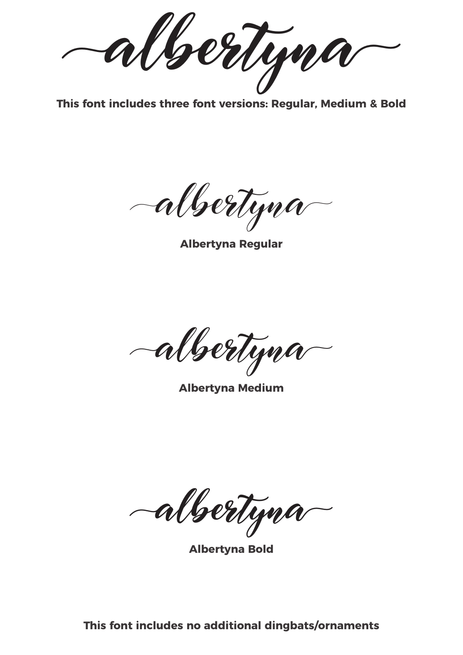**albertyna**

**This font includes three font versions: Regular, Medium & Bold**

albertyna

**Albertyna Regular**

albertyna

**Albertyna Medium**

**albertyna**

**Albertyna Bold**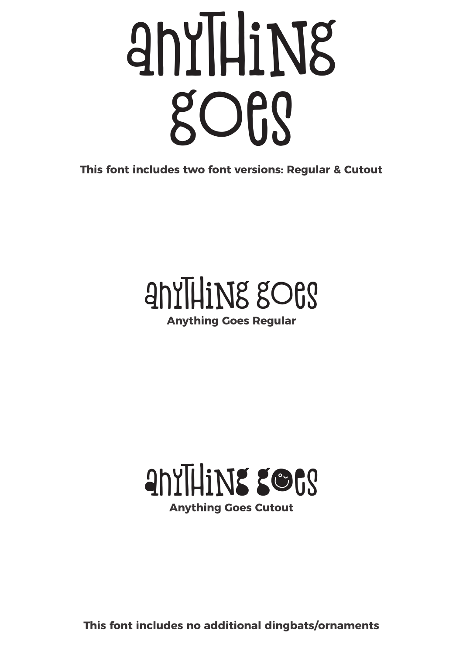# anyThiNg goeg

**This font includes two font versions: Regular & Cutout**

### anyThiNg goes

**Anything Goes Regular**

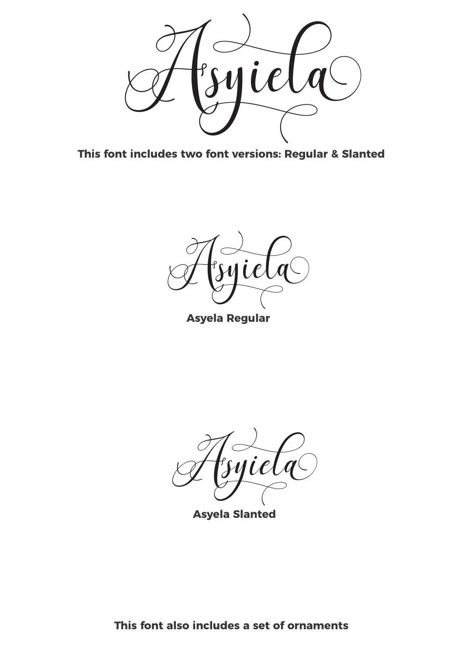

**This font includes two font versions: Regular & Slanted**

Asyiela

**Asyela Regular**

Asyiela

**Asyela Slanted**

**This font also includes a set of ornaments**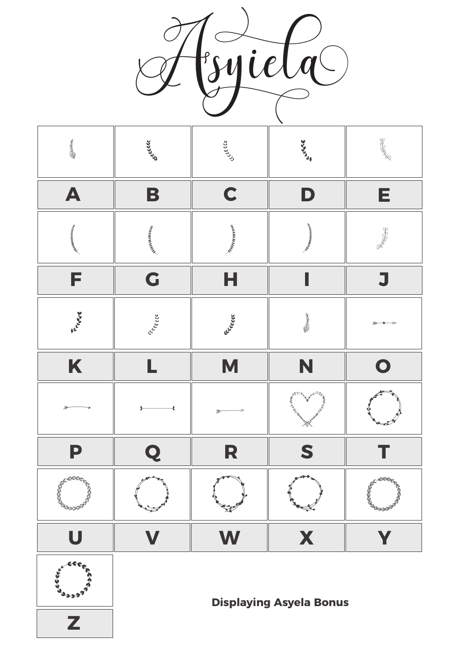





**Displaying Asyela Bonus**

**Z**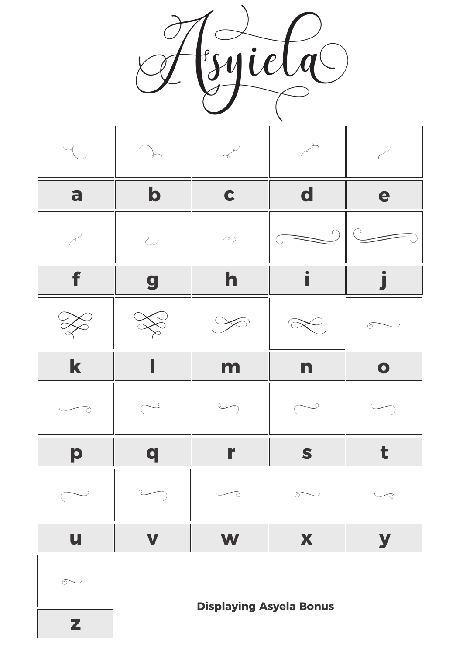



**Displaying Asyela Bonus**

**z**

 $\sim$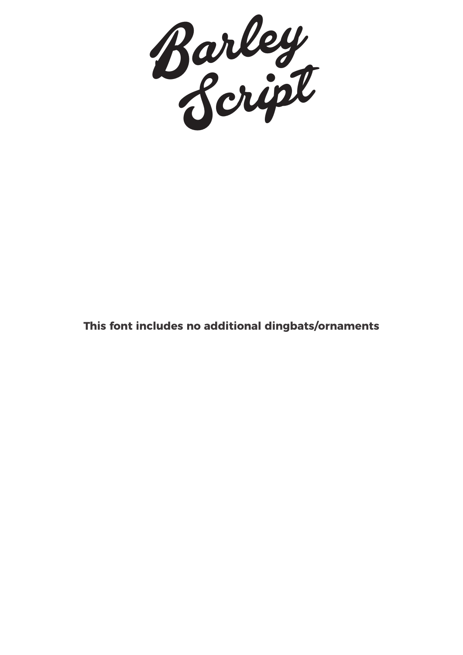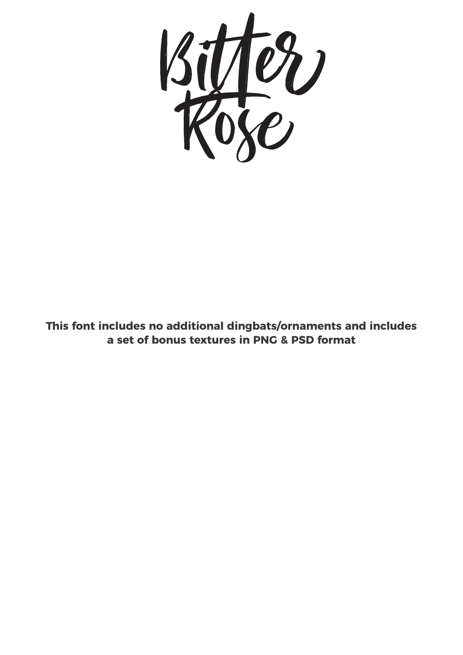

**This font includes no additional dingbats/ornaments and includes a set of bonus textures in PNG & PSD format**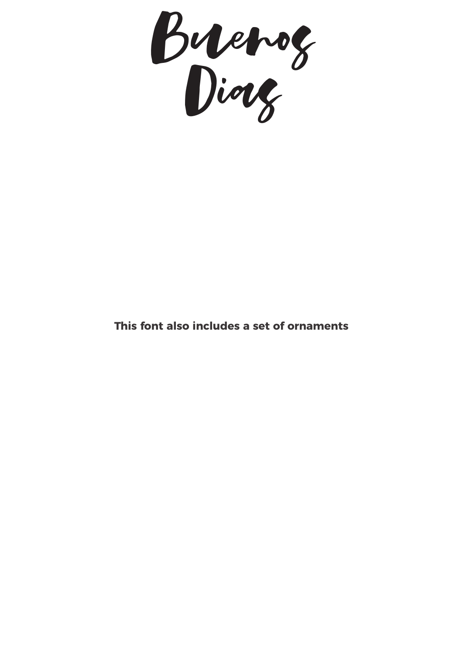Buenos Dias

#### **This font also includes a set of ornaments**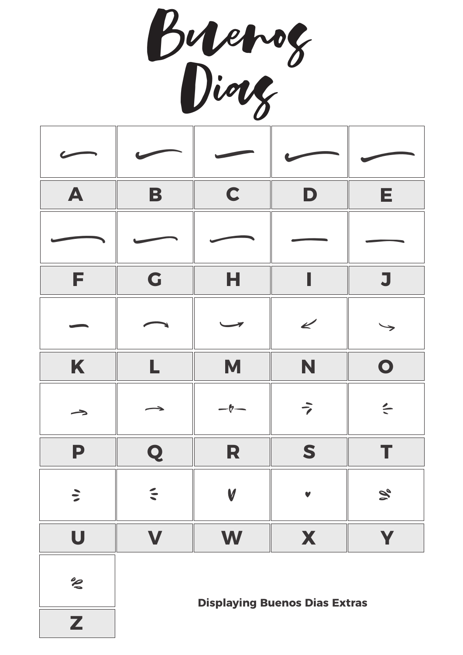Buenos Dias

| A                       | B                     | C                | D                    | E.                         |
|-------------------------|-----------------------|------------------|----------------------|----------------------------|
|                         |                       |                  |                      |                            |
| F                       | G                     | н                |                      | J                          |
|                         |                       |                  | $\mathbf{z}$         |                            |
| K                       | L                     | M                | N                    | $\bullet$                  |
| $\rightarrow$           | $\rightarrow$         | $-\mathbf{b}$    | $\overrightarrow{ }$ | $\leq$                     |
| P                       | Q                     | R                | S                    |                            |
| $\ddot{\phantom{0}}$    | $\tilde{\phantom{a}}$ | $\boldsymbol{V}$ | $\blacktriangledown$ | $\mathcal{S}_{\mathbf{e}}$ |
| $\overline{\mathbf{U}}$ | V                     | W                | X                    | Y                          |

 $z^{\circ}$ 

**Displaying Buenos Dias Extras**

**Z**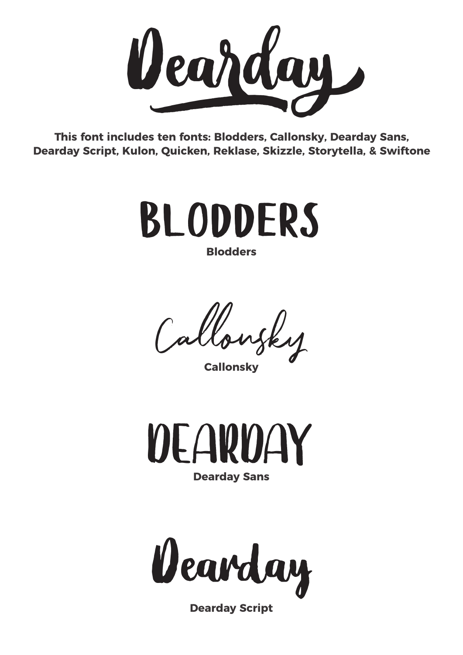

**This font includes ten fonts: Blodders, Callonsky, Dearday Sans, Dearday Script, Kulon, Quicken, Reklase, Skizzle, Storytella, & Swiftone**



Callonsky **Callonsky**



**Dearday Sans**

Dearday

**Dearday Script**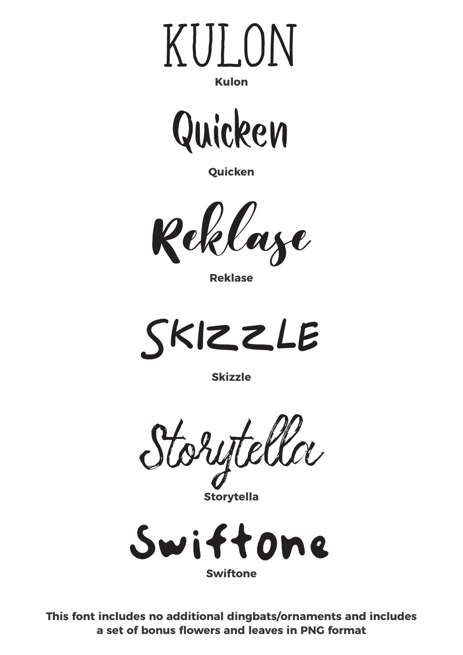



**Quicken**



**Reklase**



**Skizzle**

Storytella

**Storytella**



**This font includes no additional dingbats/ornaments and includes a set of bonus flowers and leaves in PNG format**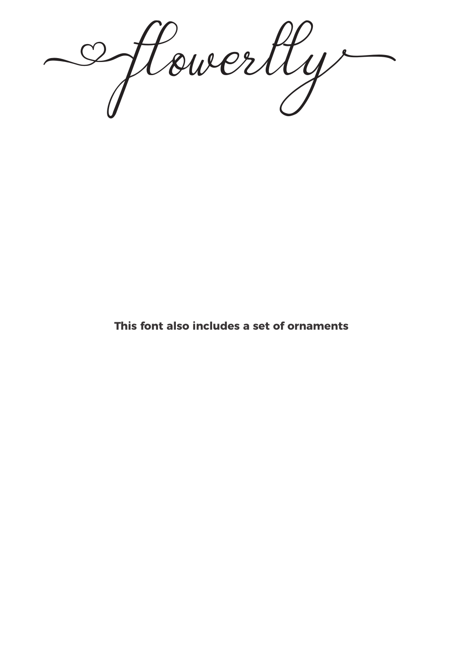**Aflowerllyh**

**This font also includes a set of ornaments**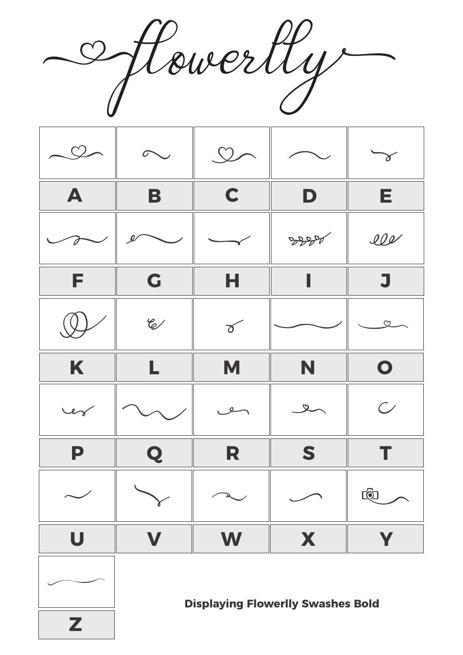**Aflowerllyh**



**Z**

 $\overline{\phantom{a}}$ 

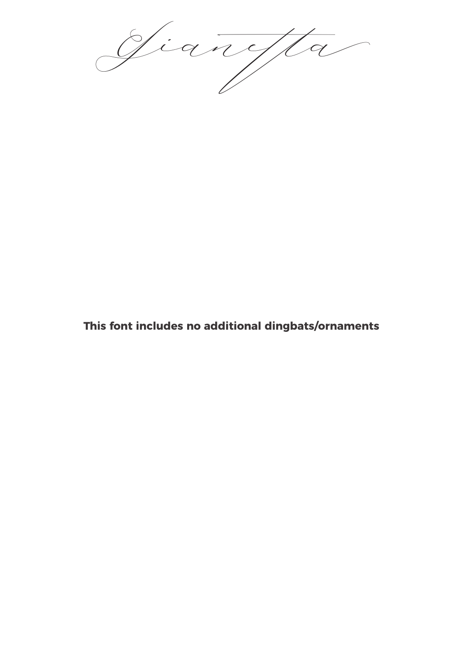Gianetta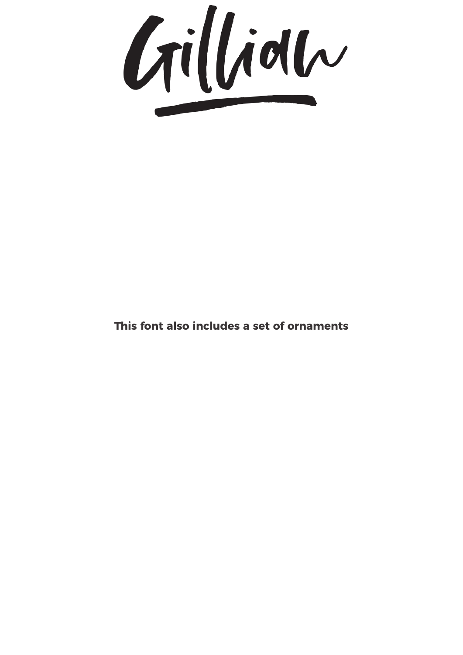

#### **This font also includes a set of ornaments**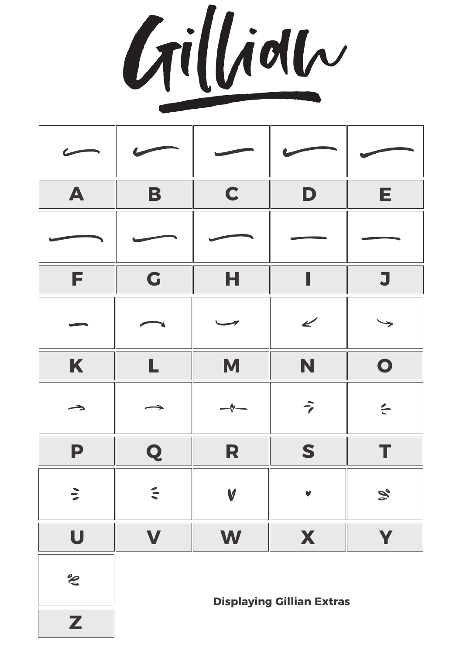Gillian

| $\blacktriangle$ | B      | $\mathbf C$ | D                    | Е.                |
|------------------|--------|-------------|----------------------|-------------------|
|                  |        |             |                      |                   |
| F                | G      | Н           | I                    | J                 |
|                  |        |             | $\epsilon$           |                   |
| K                | L      | M           | N                    | $\bullet$         |
| →                |        |             | $\overrightarrow{ }$ | $\leq$            |
| P                | Q      | R           | S                    |                   |
| $\sum$           | $\leq$ | V           | $\blacktriangledown$ | $\mathcal{S}_{o}$ |
| U                | V      | W           | X                    | Y                 |

 $z^{\circ}$ 

**Displaying Gillian Extras**

**Z**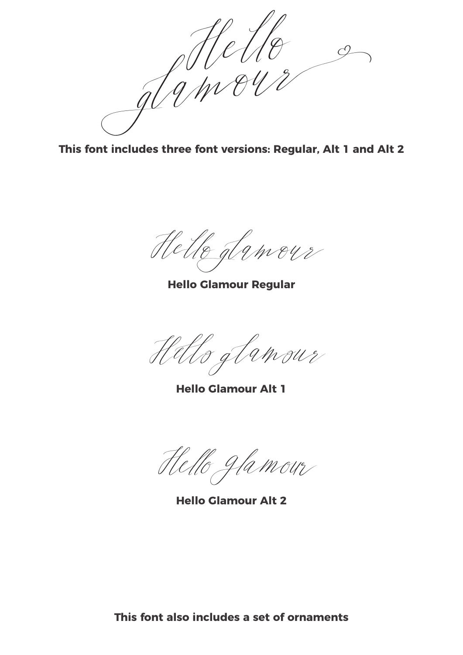

**This font includes three font versions: Regular, Alt 1 and Alt 2**

Helle glamour

**Hello Glamour Regular**

Hello glamour

**Hello Glamour Alt 1**

Hello glamour

**Hello Glamour Alt 2**

**This font also includes a set of ornaments**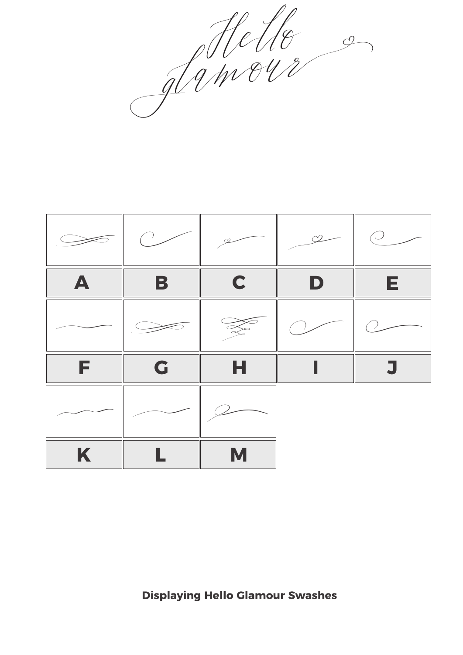glamour

|   |   |   |   | $\bigcirc$ |
|---|---|---|---|------------|
| A | B | C | D | E.         |
|   |   |   |   |            |
| F | G | н |   |            |
|   |   |   |   |            |
| K |   | M |   |            |

**Displaying Hello Glamour Swashes**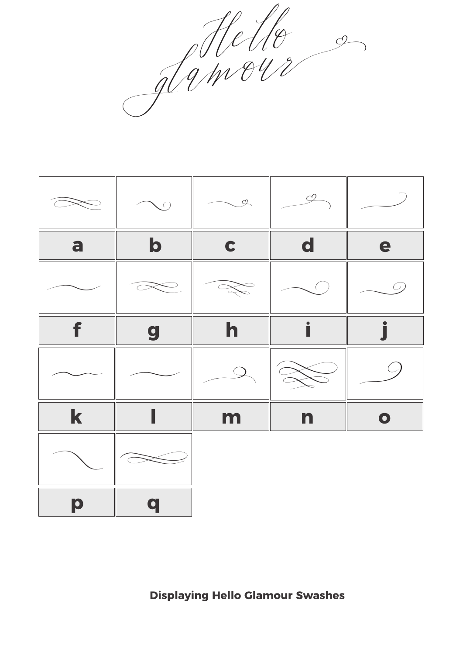Mello 9



**Displaying Hello Glamour Swashes**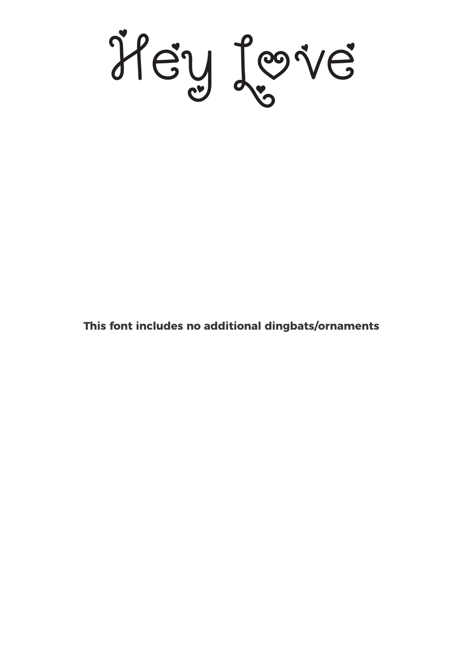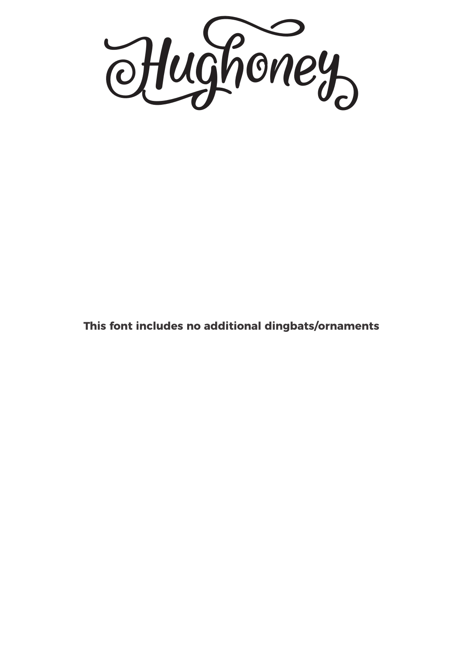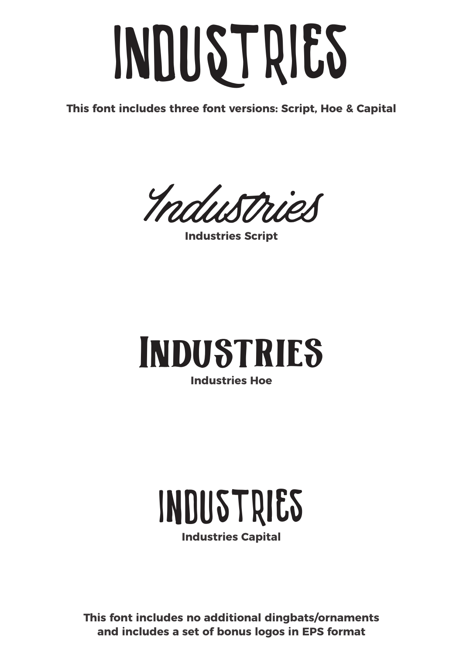# *INDuStrIes*

**This font includes three font versions: Script, Hoe & Capital**

Industries

**Industries Script**

#### **Industries Hoe** Industries

## *Industries*

**Industries Capital**

**This font includes no additional dingbats/ornaments and includes a set of bonus logos in EPS format**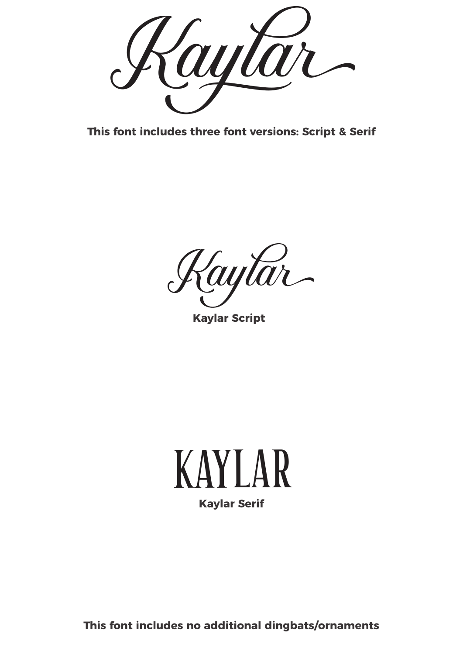

**This font includes three font versions: Script & Serif**

Kaytar

**Kaylar Script**

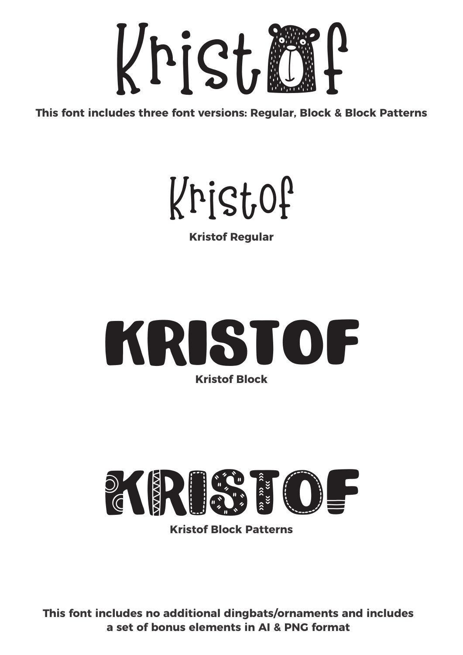

**This font includes three font versions: Regular, Block & Block Patterns**



**Kristof Regular**





**Kristof Block Patterns**

**This font includes no additional dingbats/ornaments and includes a set of bonus elements in AI & PNG format**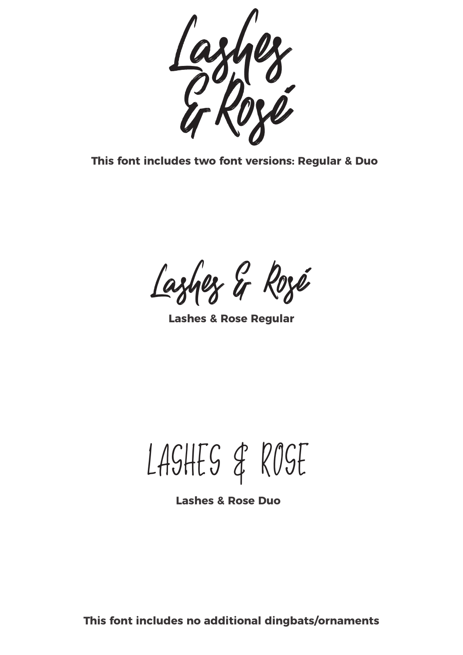

**This font includes two font versions: Regular & Duo**

Lashes & Rosé

**Lashes & Rose Regular**

Lashes & Rosé

**Lashes & Rose Duo**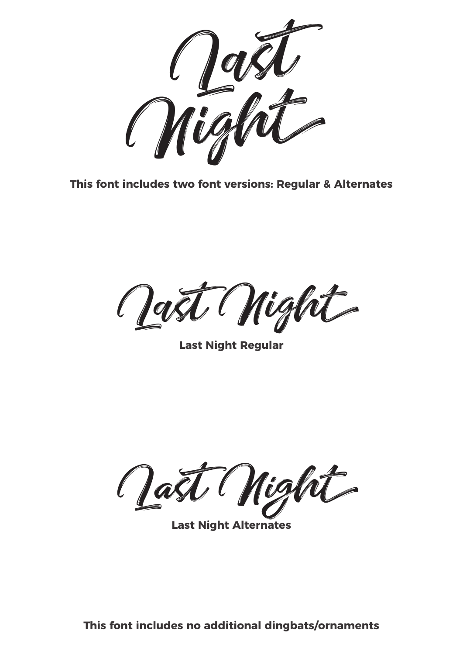

**This font includes two font versions: Regular & Alternates**

Last Night

**Last Night Regular**

Last Night

**Last Night Alternates**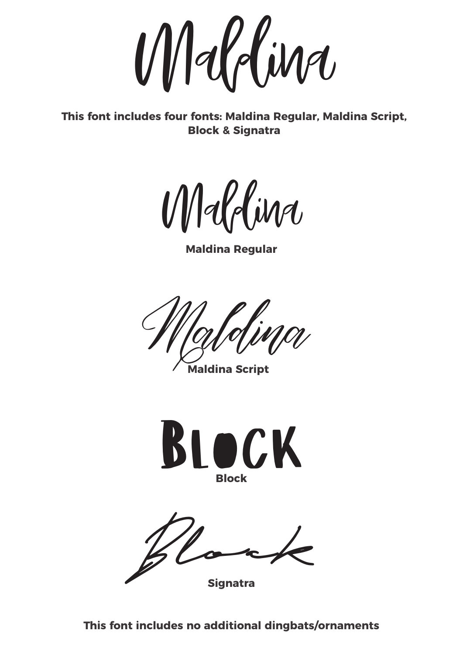Maldina

**This font includes four fonts: Maldina Regular, Maldina Script, Block & Signatra**

Maldina

**Maldina Regular**

Maldina

**Maldina Script**



**Signatra** Block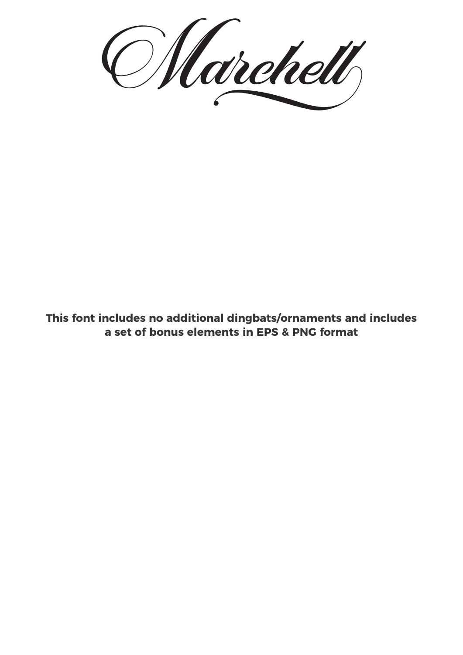Marchell

**This font includes no additional dingbats/ornaments and includes a set of bonus elements in EPS & PNG format**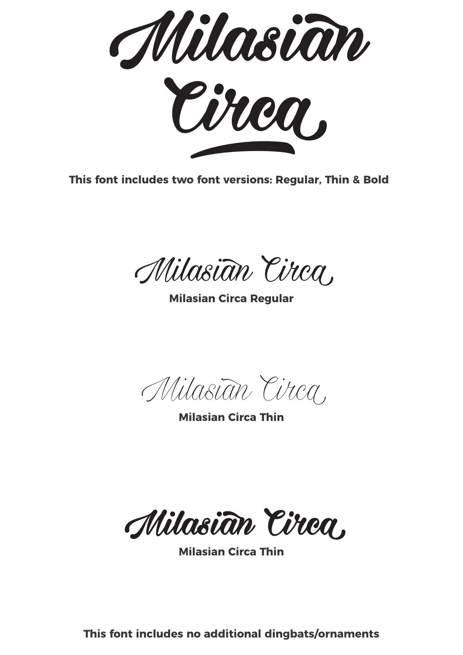

**This font includes two font versions: Regular, Thin & Bold**

Milasian Circa.

**Milasian Circa Regular**

Milasian Circa.

**Milasian Circa Thin**

**Milasian Circa**

**Milasian Circa Thin**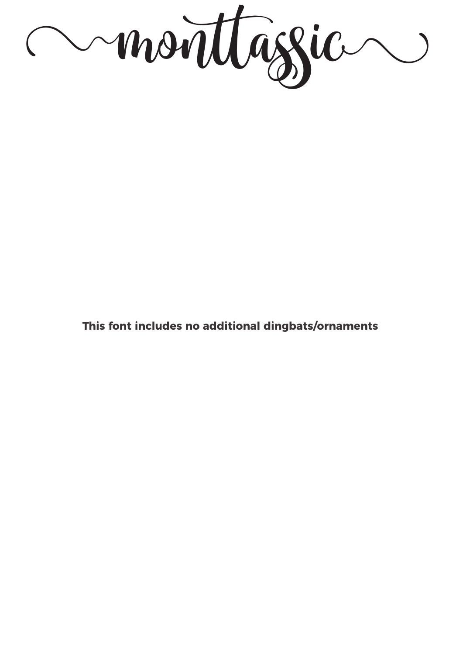monttassic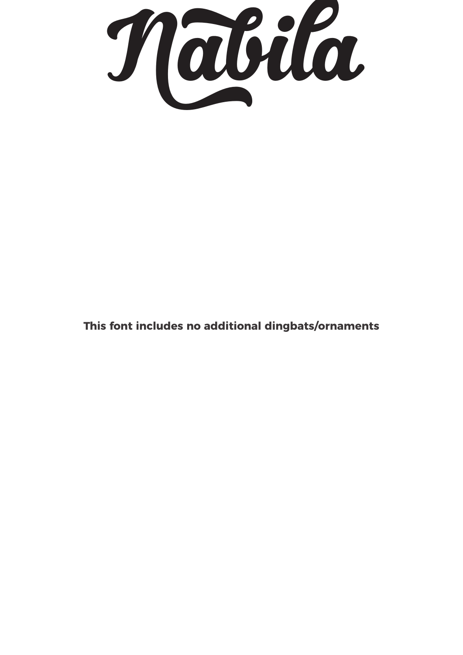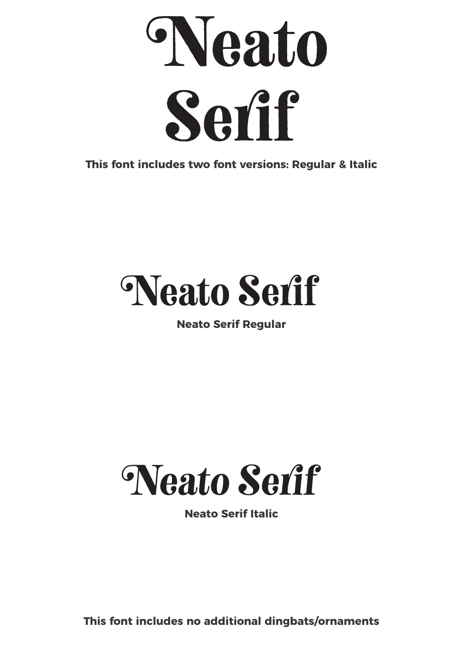

**This font includes two font versions: Regular & Italic**

### Neato Serif

#### **Neato Serif Regular**



**Neato Serif Italic**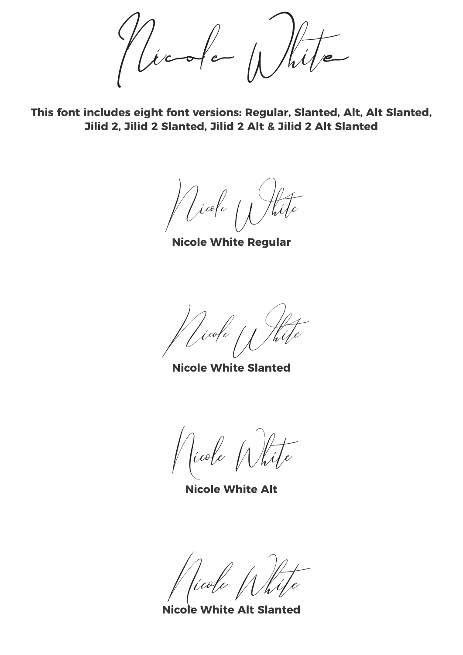Nicole White

This font includes eight font versions: Regular, Slanted, Alt, Alt Slanted, **Jilid 2, Jilid 2 Slanted, Jilid 2 Alt & Jilid 2 Alt Slanted**

Nicole 11 Hite

**Nicole White Regular**

Nicole White

**Nicole White Slanted**

Nicole White

**Nicole White Alt**

Nicole White

**Nicole White Alt Slanted**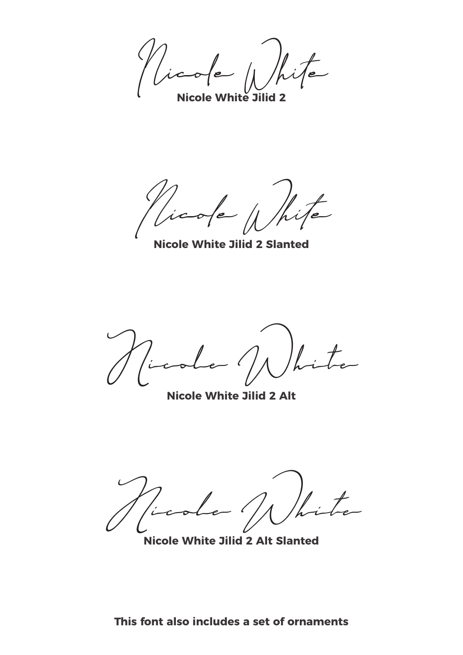Nicole White

**Nicole White Jilid 2**

Nicole White

**Nicole White Jilid 2 Slanted**

Nicole White

**Nicole White Jilid 2 Alt**

Nicole NN hite

**Nicole White Jilid 2 Alt Slanted**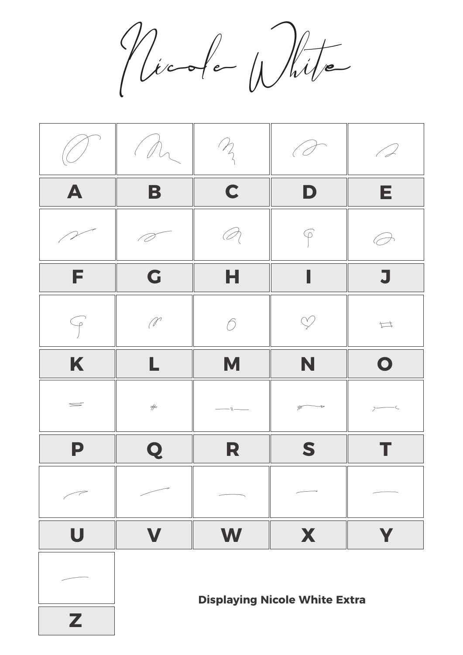Nicole White



**Displaying Nicole White Extra**

**Z**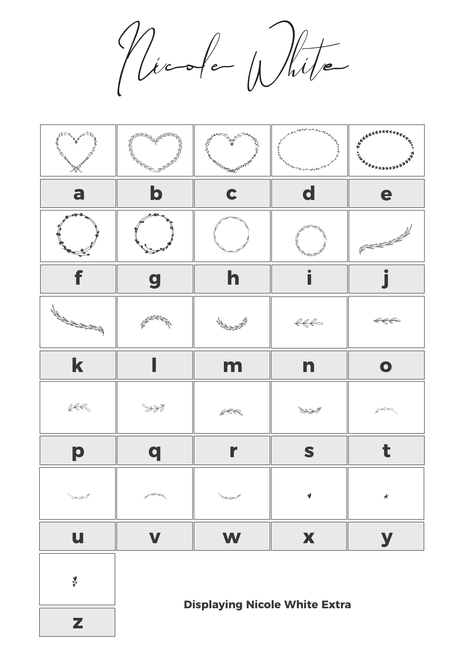Nicole White



**z**  $\frac{1}{2}$ 

**Displaying Nicole White Extra**

**z**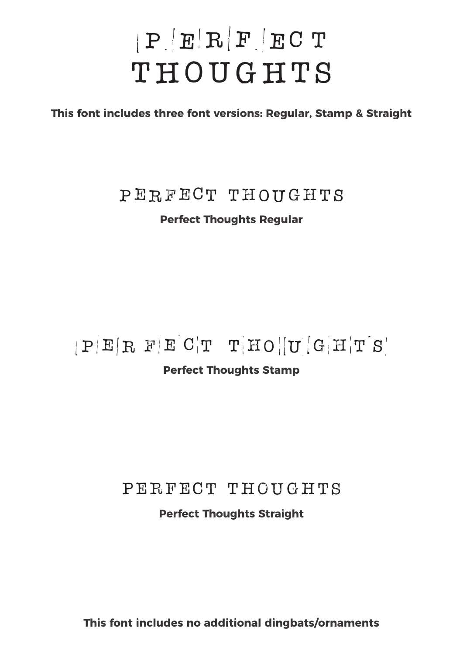### PERFECT THOUGHTS

**This font includes three font versions: Regular, Stamp & Straight**

#### PERFECT THOUGHTS

#### **Perfect Thoughts Regular**

#### $|P|E|R F E C T T T H O ||U G H T S'$

#### **Perfect Thoughts Stamp**

#### PERFECT THOUGHTS

#### **Perfect Thoughts Straight**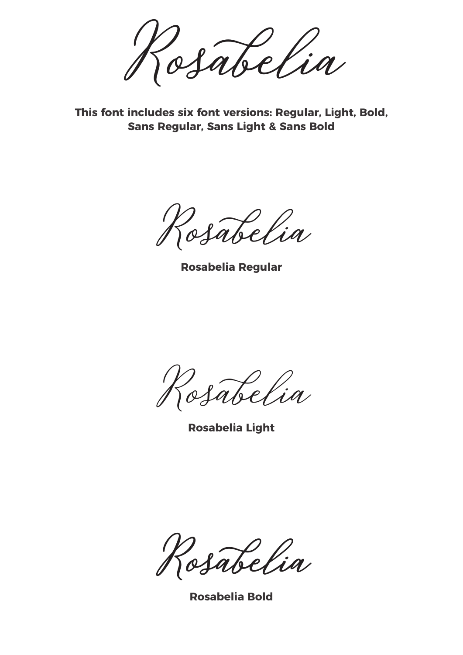Rosabelia

**This font includes six font versions: Regular, Light, Bold, Sans Regular, Sans Light & Sans Bold**

Rosabelia

**Rosabelia Regular**

Rosabelia

**Rosabelia Light**

**Rosabelia**

**Rosabelia Bold**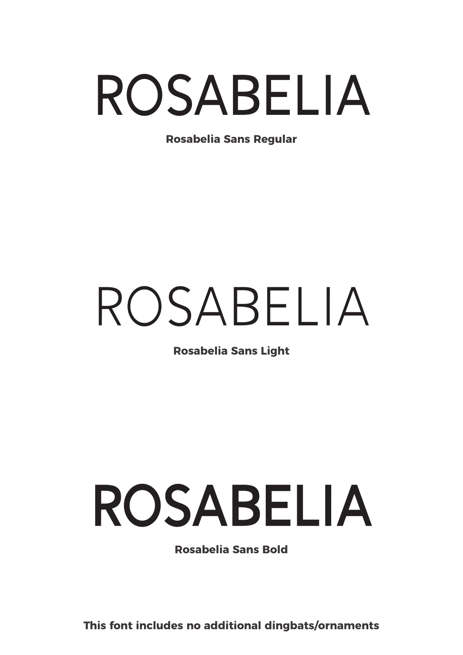## Rosabelia

**Rosabelia Sans Regular**

## Rosabelia

**Rosabelia Sans Light**

## **Rosabelia**

**Rosabelia Sans Bold**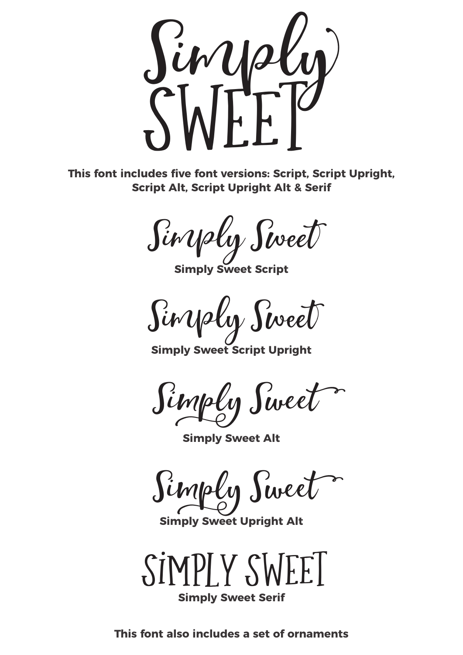

**This font includes five font versions: Script, Script Upright, Script Alt, Script Upright Alt & Serif**

Siry Sireet

**Simply Sweet Script** 

Siny oly Sweet

**Simply Sweet Script Upright**

Simply Sweet

**Simply Sweet Alt**

Simply Sweet

**Simply Sweet Upright Alt**



**Simply Sweet Serif**

**This font also includes a set of ornaments**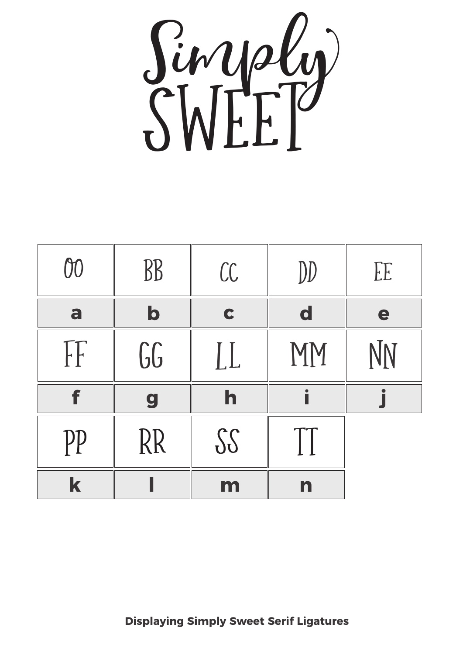

| 00           | BB          | CC          | DD                             | EE |
|--------------|-------------|-------------|--------------------------------|----|
| a            | $\mathbf b$ | $\mathbf C$ | $\mathbf d$                    | e  |
| $\mathbb{F}$ | 66          | LL          | MM                             | NN |
|              |             |             |                                |    |
| f            | 9           | h           |                                |    |
| PP           | RR          | 32          | $\mathbf{\mathbf{\mathsf{H}}}$ |    |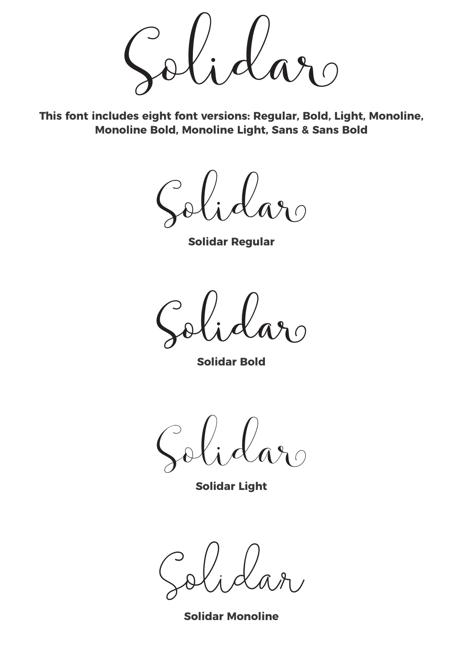Solidar

**This font includes eight font versions: Regular, Bold, Light, Monoline, Monoline Bold, Monoline Light, Sans & Sans Bold**

Solidar

**Solidar Regular**

**Solidar**

**Solidar Bold**

Solidar

**Solidar Light**

Solidar

**Solidar Monoline**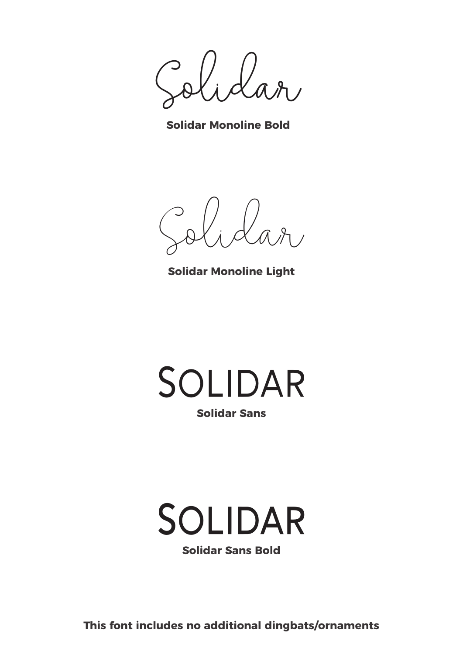**Solidar**

**Solidar Monoline Bold**

Solidar

**Solidar Monoline Light**



### **Solidar**

**Solidar Sans Bold**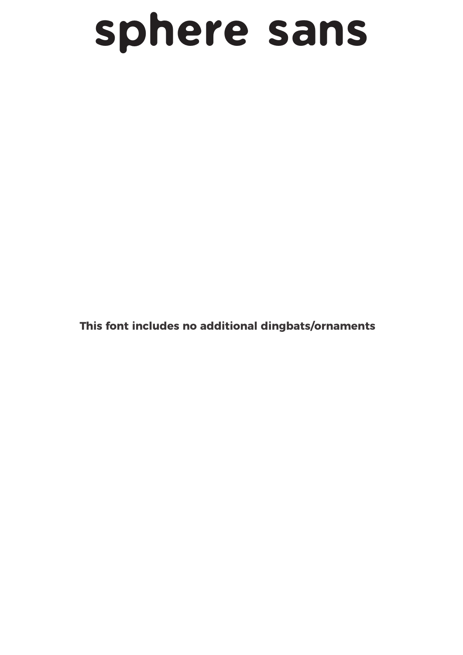### sphere sans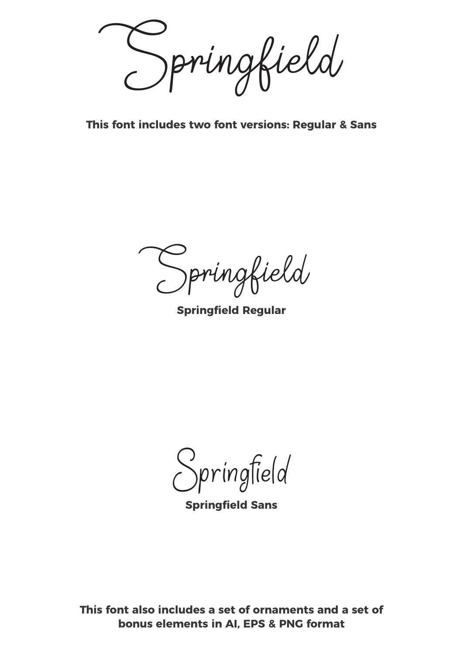Springfield

**This font includes two font versions: Regular & Sans**

Springfield

**Springfield Regular**

Springfield

**Springfield Sans**

**This font also includes a set of ornaments and a set of bonus elements in AI, EPS & PNG format**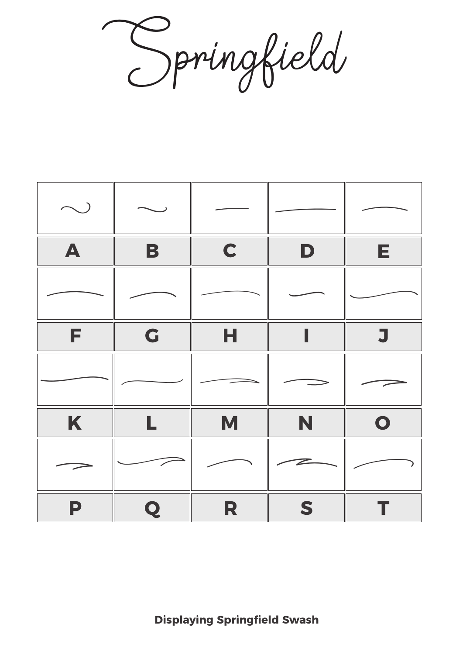Springfield

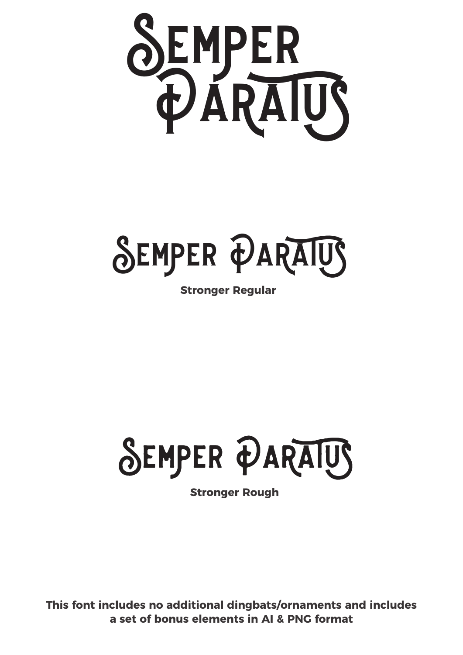

**SEMPER PARAIUS** 

**Stronger Regular**



**Stronger Rough**

**This font includes no additional dingbats/ornaments and includes a set of bonus elements in AI & PNG format**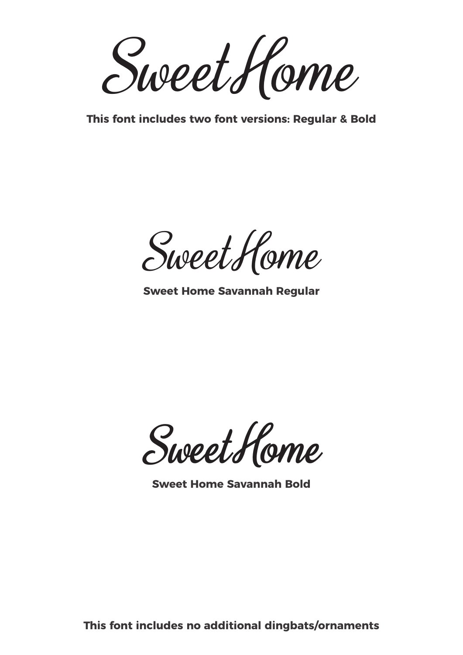SweetHome

**This font includes two font versions: Regular & Bold**

SweetHome

**Sweet Home Savannah Regular**

**SweetHome**

**Sweet Home Savannah Bold**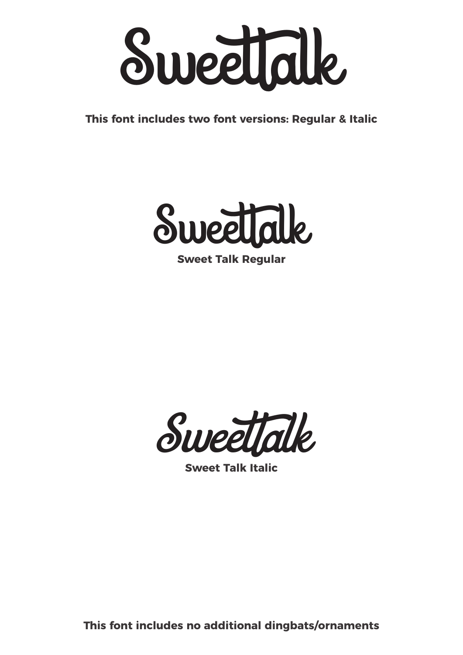

**This font includes two font versions: Regular & Italic**



**Sweet Talk Regular**



**Sweet Talk Italic**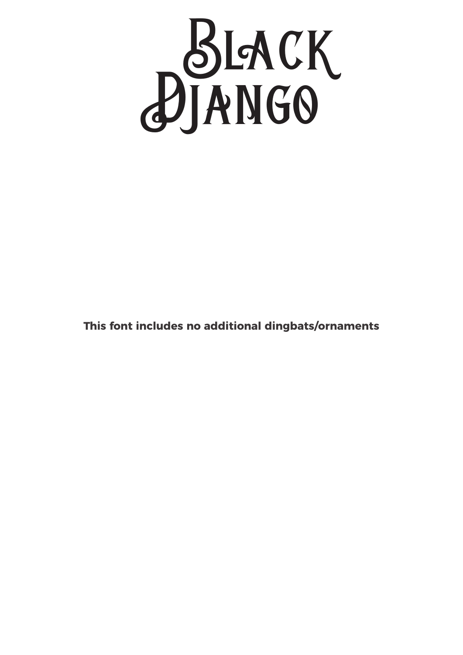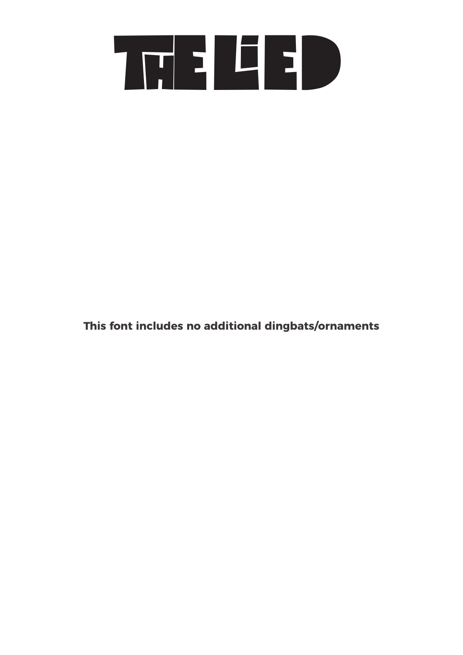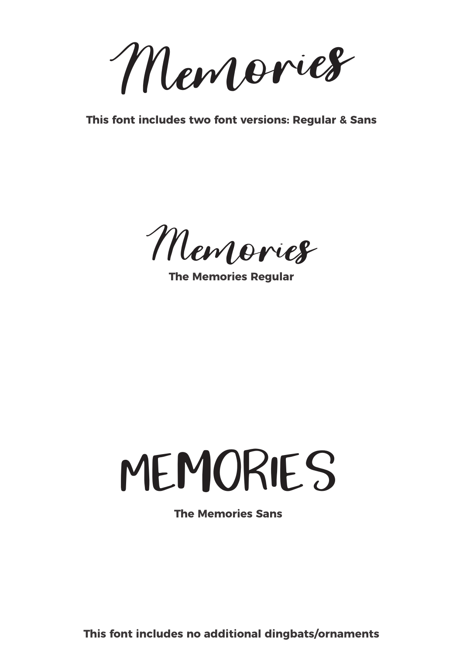Memories

**This font includes two font versions: Regular & Sans**

Memories

**The Memories Regular**

## **MEMORIES**

**The Memories Sans**